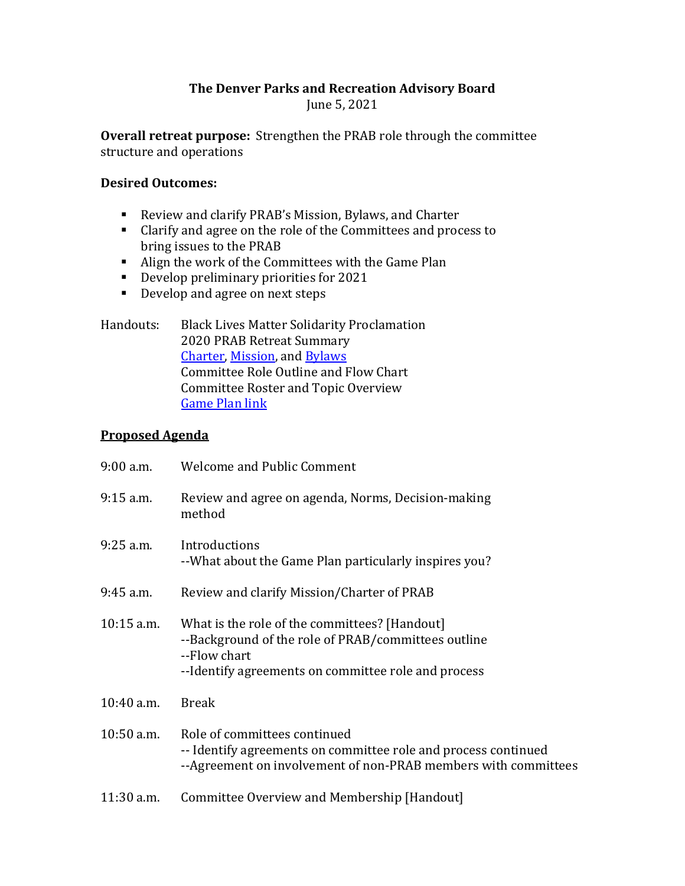## **The Denver Parks and Recreation Advisory Board** June 5, 2021

**Overall retreat purpose:** Strengthen the PRAB role through the committee structure and operations

## **Desired Outcomes:**

- Review and clarify PRAB's Mission, Bylaws, and Charter
- **Clarify and agree on the role of the Committees and process to** bring issues to the PRAB
- Align the work of the Committees with the Game Plan
- Develop preliminary priorities for 2021
- Develop and agree on next steps

| Handouts: | <b>Black Lives Matter Solidarity Proclamation</b> |
|-----------|---------------------------------------------------|
|           | 2020 PRAB Retreat Summary                         |
|           | <b>Charter, Mission, and Bylaws</b>               |
|           | Committee Role Outline and Flow Chart             |
|           | Committee Roster and Topic Overview               |
|           | <b>Game Plan link</b>                             |

## **Proposed Agenda**

| $9:00$ a.m.  | <b>Welcome and Public Comment</b>                                                                                                                                           |
|--------------|-----------------------------------------------------------------------------------------------------------------------------------------------------------------------------|
| $9:15$ a.m.  | Review and agree on agenda, Norms, Decision-making<br>method                                                                                                                |
| $9:25$ a.m.  | Introductions<br>--What about the Game Plan particularly inspires you?                                                                                                      |
| $9:45$ a.m.  | Review and clarify Mission/Charter of PRAB                                                                                                                                  |
| $10:15$ a.m. | What is the role of the committees? [Handout]<br>--Background of the role of PRAB/committees outline<br>--Flow chart<br>--Identify agreements on committee role and process |
| $10:40$ a.m. | <b>Break</b>                                                                                                                                                                |
| $10:50$ a.m. | Role of committees continued<br>-- Identify agreements on committee role and process continued<br>--Agreement on involvement of non-PRAB members with committees            |
| 11:30 a.m.   | Committee Overview and Membership [Handout]                                                                                                                                 |